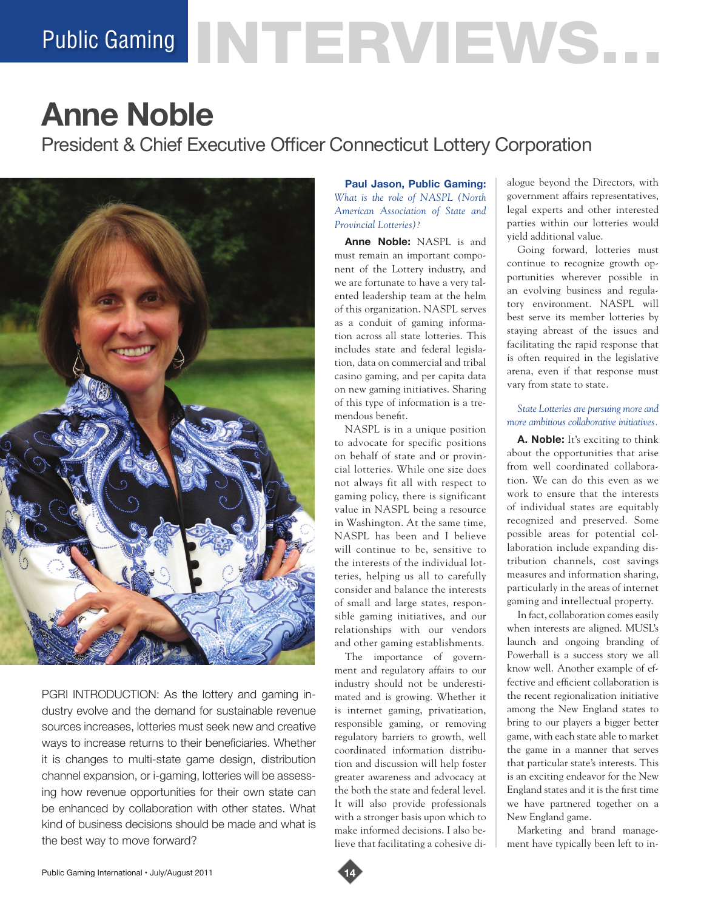# Public Gaming NTERVIEWS.

## **Anne Noble**

President & Chief Executive Officer Connecticut Lottery Corporation



PGRI INTRODUCTION: As the lottery and gaming industry evolve and the demand for sustainable revenue sources increases, lotteries must seek new and creative ways to increase returns to their beneficiaries. Whether it is changes to multi-state game design, distribution channel expansion, or i-gaming, lotteries will be assessing how revenue opportunities for their own state can be enhanced by collaboration with other states. What kind of business decisions should be made and what is the best way to move forward?

**Paul Jason, Public Gaming:**  *What is the role of NASPL (North American Association of State and Provincial Lotteries)?*

**Anne Noble:** NASPL is and must remain an important component of the Lottery industry, and we are fortunate to have a very talented leadership team at the helm of this organization. NASPL serves as a conduit of gaming information across all state lotteries. This includes state and federal legislation, data on commercial and tribal casino gaming, and per capita data on new gaming initiatives. Sharing of this type of information is a tremendous benefit.

NASPL is in a unique position to advocate for specific positions on behalf of state and or provincial lotteries. While one size does not always fit all with respect to gaming policy, there is significant value in NASPL being a resource in Washington. At the same time, NASPL has been and I believe will continue to be, sensitive to the interests of the individual lotteries, helping us all to carefully consider and balance the interests of small and large states, responsible gaming initiatives, and our relationships with our vendors and other gaming establishments.

The importance of government and regulatory affairs to our industry should not be underestimated and is growing. Whether it is internet gaming, privatization, responsible gaming, or removing regulatory barriers to growth, well coordinated information distribution and discussion will help foster greater awareness and advocacy at the both the state and federal level. It will also provide professionals with a stronger basis upon which to make informed decisions. I also believe that facilitating a cohesive dialogue beyond the Directors, with government affairs representatives, legal experts and other interested parties within our lotteries would yield additional value.

Going forward, lotteries must continue to recognize growth opportunities wherever possible in an evolving business and regulatory environment. NASPL will best serve its member lotteries by staying abreast of the issues and facilitating the rapid response that is often required in the legislative arena, even if that response must vary from state to state.

### *State Lotteries are pursuing more and more ambitious collaborative initiatives.*

**A. Noble:** It's exciting to think about the opportunities that arise from well coordinated collaboration. We can do this even as we work to ensure that the interests of individual states are equitably recognized and preserved. Some possible areas for potential collaboration include expanding distribution channels, cost savings measures and information sharing, particularly in the areas of internet gaming and intellectual property.

In fact, collaboration comes easily when interests are aligned. MUSL's launch and ongoing branding of Powerball is a success story we all know well. Another example of effective and efficient collaboration is the recent regionalization initiative among the New England states to bring to our players a bigger better game, with each state able to market the game in a manner that serves that particular state's interests. This is an exciting endeavor for the New England states and it is the first time we have partnered together on a New England game.

Marketing and brand management have typically been left to in-